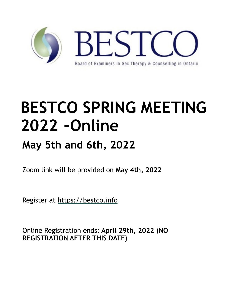

# **BESTCO SPRING MEETING 2022 -Online**

## **May 5th and 6th, 2022**

Zoom link will be provided on **May 4th, 2022**

Register at https://bestco.info

Online Registration ends: **April 29th, 2022 (NO REGISTRATION AFTER THIS DATE)**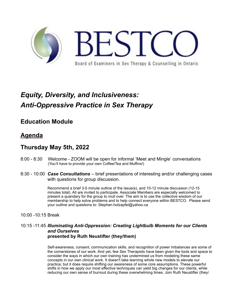

## *Equity, Diversity, and Inclusiveness: Anti-Oppressive Practice in Sex Therapy*

**Education Module**

#### **Agenda**

#### **Thursday May 5th, 2022**

- 8:00 8:30 Welcome ZOOM will be open for informal 'Meet and Mingle' conversations (You'll have to provide your own Coffee/Tea and Muffins!)
- 8:30 10:00 *Case Consultations* brief presentations of interesting and/or challenging cases with questions for group discussion.

Recommend a brief 3-5 minute outline of the issue(s), and 10-12 minute discussion (12-15 minutes total). All are invited to participate. Associate Members are especially welcomed to present a quandary for the group to mull over. The aim is to use the collective wisdom of our membership to help solve problems and to help connect everyone within BESTCO. Please send your outline and questions to: Stephen.holzapfel@yahoo.ca

10:00 -10:15 Break

#### 10:15 -11:45 *Illuminating Anti-Oppression: Creating Lightbulb Moments for our Clients and Ourselves* **presented by Ruth Neustifter (they/them)**

Self-awareness, consent, communication skills, and recognition of power imbalances are some of the cornerstones of our work. And yet, few Sex Therapists have been given the tools and space to consider the ways in which our own training has undermined us from modeling these same concepts in our own clinical work. It doesn't take learning whole new models to elevate our practice; but it does require shifting our awareness of some core assumptions. These powerful shifts in how we apply our most effective techniques can yield big changes for our clients, while reducing our own sense of burnout during these overwhelming times. Join Ruth Neustifter (they/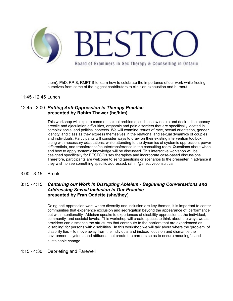

them), PhD, RP-S, RMFT-S to learn how to celebrate the importance of our work while freeing ourselves from some of the biggest contributors to clinician exhaustion and burnout.

#### 11:45 -12:45 Lunch

#### 12:45 - 3:00 *Putting Anti-Oppression in Therapy Practice* **presented by Rahim Thawer (he/him)**

This workshop will explore common sexual problems, such as low desire and desire discrepancy, erectile and ejaculation difficulties, orgasmic and pain disorders that are specifically located in complex social and political contexts. We will examine issues of race, sexual orientation, gender identity, and class as they express themselves in the relational and sexual dynamics of couples and individuals. Participants will consider ways to draw on their existing intervention toolbox, along with necessary adaptations, while attending to the dynamics of systemic oppression, power differentials, and transference/countertransference in the consulting room. Questions about when and how to apply systemic knowledge will be discussed. This interactive workshop will be designed specifically for BESTCO's sex therapists and incorporate case-based discussions. Therefore, participants are welcome to send questions or scenarios to the presenter in advance if they wish to see something specific addressed: rahim@affectiveconsult.ca

3:00 - 3:15 Break

#### 3:15 - 4:15 *Centering our Work in Disrupting Ableism - Beginning Conversations and Addressing Sexual Inclusion in Our Practice* **presented by Fran Oddette (she/they**)

Doing anti-oppression work where diversity and inclusion are key themes, it is important to center communities that experience exclusion and segregation beyond the appearance of 'performance' but with intentionality. Ableism speaks to experiences of disability oppression at the individual, community, and societal levels. This workshop will create spaces to think about the ways we as providers can dismantle the structures that contribute to the barriers that are experienced as 'disabling' for persons with disabilities. In this workshop we will talk about where the 'problem' of disability lies – to move away from the individual and instead focus on and dismantle the environment, systems and attitudes that create the barriers so as to ensure meaningful and sustainable change.

#### 4:15 - 4:30 Debriefing and Farewell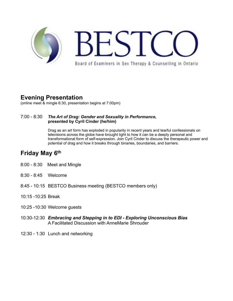

### **Evening Presentation**

(online meet & mingle 6:30, presentation begins at 7:00pm)

#### 7:00 - 8:30*The Art of Drag: Gender and Sexuality in Performance***, presented by Cyril Cinder (he/him)**

Drag as an art form has exploded in popularity in recent years and tearful confessionals on televisions across the globe have brought light to how it can be a deeply personal and transformational form of self-expression. Join Cyril Cinder to discuss the therapeutic power and potential of drag and how it breaks through binaries, boundaries, and barriers.

#### **Friday May 6th**

- 8:00 8:30 Meet and Mingle
- 8:30 8:45 Welcome
- 8:45 10:15 BESTCO Business meeting (BESTCO members only)
- 10:15 -10:25 Break
- 10:25 -10:30 Welcome guests
- 10:30-12:30 *Embracing and Stepping in to EDI Exploring Unconscious Bias*  A Facilitated Discussion with AnneMarie Shrouder
- 12:30 1:30 Lunch and networking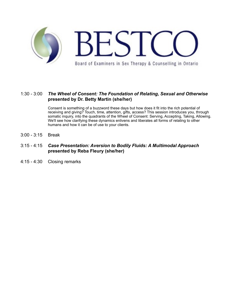

#### 1:30 - 3:00 *The Wheel of Consent: The Foundation of Relating, Sexual and Otherwise* **presented by Dr. Betty Martin (she/her)**

Consent is something of a buzzword these days but how does it fit into the rich potential of receiving and giving? Touch, time, attention, gifts, access? This session introduces you, through somatic inquiry, into the quadrants of the Wheel of Consent: Serving, Accepting, Taking, Allowing. We'll see how clarifying these dynamics enlivens and liberates all forms of relating to other humans and how it can be of use to your clients.

- 3:00 3:15 Break
- 3:15 4:15 *Case Presentation: Aversion to Bodily Fluids: A Multimodal Approach* **presented by Reba Fleury (she/her)**
- 4:15 4:30 Closing remarks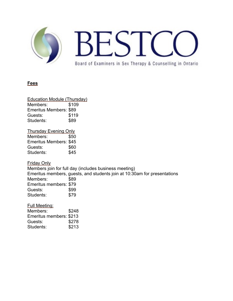

#### **Fees**

Education Module (Thursday) Members: \$109 Emeritus Members: \$89 Guests: \$119 Students: \$89

Thursday Evening Only Members: \$50 Emeritus Members: \$45 Guests: \$60 Students: \$45

Friday Only

Members join for full day (includes business meeting) Emeritus members, guests, and students join at 10:30am for presentations Members: \$89 Emeritus members: \$79 Guests: \$99 Students: \$79

Full Meeting: Members: \$248 Emeritus members: \$213 Guests: \$278 Students: \$213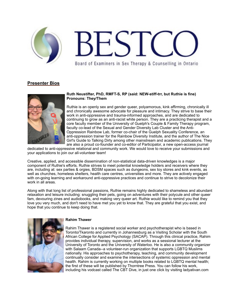

#### **Presenter Bios**



#### **Ruth Neustifter, PhD, RMFT-S, RP (said: NEW-stiff-trr, but Ruthie is fine) Pronouns: They/Them**

Ruthie is an openly sex and gender queer, polyamorous, kink affirming, chronically ill and chronically awesome advocate for pleasure and intimacy. They strive to base their work in anti-oppressive and trauma-informed approaches, and are dedicated to continuing to grow as an anti-racist white person. They are a practicing therapist and a core faculty member of the University of Guelph's Couple & Family Therapy program, faculty co-lead of the Sexual and Gender Diversity Lab Cluster and the Anti-Oppression Rainbow Lab, former co-chair of the Guelph Sexuality Conference, an anti-oppression trainer for the Rainbow Diversity Institute, and the author of The Nice Girl's Guide to Talking Dirty among other mainstream and academic publications. They are also a proud co-founder and co-editor of Participator, a new open-access journal

dedicated to anti-oppressive relational and community work. We would love to receive your submissions and your applications to join our all-volunteer team!

Creative, applied, and accessible dissemination of non-statistical data-driven knowledges is a major component of Ruthie's efforts. Ruthie strives to meet potential knowledge holders and receivers where they are, including at: sex parties & orgies, BDSM spaces such as dungeons, sex toy stores and kink events, as well as churches, homeless shelters, health care centres, universities and more. They are actively engaged with on-going learning and workaround anti-oppressive practices and continue to strive to decolonize their work in all areas.

Along with that long list of professional passions, Ruthie remains highly dedicated to shameless and abundant relaxation and leisure including: snuggling their pets, going on adventures with their polycule and other queer fam, devouring zines and audiobooks, and making very queer art. Ruthie would like to remind you that they love you very much, and don't need to have met you yet to know that. They are grateful that you exist, and hope that you continue to keep doing that.



#### **Rahim Thawer**

Rahim Thawer is a registered social worker and psychotherapist who is based in Toronto/Tkaronto and currently in Johannesburg as a Visiting Scholar with the South African College for Applied Psychology (SACAP). Through this clinical practice, Rahim provides individual therapy, supervision, and works as a sessional lecturer at the University of Toronto and the University of Waterloo. He is also a community organizer with Salaam Canada--a volunteer-run organization that supports LGBTQ Muslims nationally. His approaches to psychotherapy, teaching, and community development continually consider and examine the intersections of systemic oppression and mental health. Rahim is currently working on multiple books related to LGBTQ mental health; the first of these will be published by Thorntree Press. You can follow his work, including his vodcast called The CBT Dive, in just one click by visiting ladyativan.com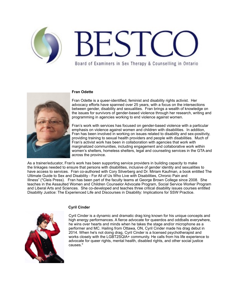



#### **Fran Odette**

Fran Odette is a queer-identified, feminist and disability rights activist. Her advocacy efforts have spanned over 25 years, with a focus on the intersections between gender, disability and sexualities. Fran brings a wealth of knowledge on the issues for survivors of gender-based violence through her research, writing and programming in agencies working to end violence against women.

Fran's work with services has focused on gender-based violence with a particular emphasis on violence against women and children with disabilities. In addition, Fran has been involved in working on issues related to disability and sex-positivity, providing training to sexual health providers and people with disabilities. Much of Fran's activist work has been in collaboration with agencies that work with marginalized communities, including engagement and collaborative work within women's shelters, homeless shelters, legal and counseling services in the GTA and across the province.

As a trainer/educator, Fran's work has been supporting service providers in building capacity to make the linkages needed to ensure that persons with disabilities, inclusive of gender identity and sexualities to have access to services. Fran co-authored with Cory Silverberg and Dr. Miriam Kaufman, a book entitled The Ultimate Guide to Sex and Disability - For All of Us Who Live with Disabilities, Chronic Pain and Illness" (\*Cleis Press). Fran has been part of the faculty teams at George Brown College since 2008. She teaches in the Assaulted Women and Children Counselor Advocate Program, Social Service Worker Program and Liberal Arts and Sciences. She co-developed and teaches three critical disability issues courses entitled Disability Justice: The Experienced Life and Discourses in Disability: Implications for SSW Practice.



#### **Cyril Cinder**

Cyril Cinder is a dynamic and dramatic drag king known for his unique concepts and high energy performances. A fierce advocate for queerdos and oddballs everywhere, he wins over hearts and minds when he takes the stage and/or microphone as a performer and MC. Hailing from Ottawa, ON, Cyril Cinder made his drag debut in 2014. When he's not doing drag, Cyril Cinder is a licensed psychotherapist and works closely with the LGBT2SQIA+ community. He calls from his life experience to advocate for queer rights, mental health, disabled rights, and other social justice causes."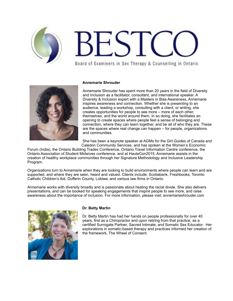

#### **Annemarie Shrouder**

Annemarie Shrouder has spent more than 20 years in the field of Diversity and Inclusion as a facilitator, consultant, and international speaker. A Diversity & Inclusion expert with a Masters in Bias Awareness, Annemarie inspires awareness and connection. Whether she is presenting to an audience, leading a workshop, consulting with a client, or writing, she creates opportunities for people to see more – more of each other, themselves, and the world around them. In so doing, she facilitates an opening to create spaces where people feel a sense of belonging and connection, where they can learn together, and be all of who they are. These are the spaces where real change can happen – for people, organizations and communities.

She has been a keynote speaker at AGMs for the Girl Guides of Canada and Caledon Community Services, and has spoken at the Women's Economic

Forum (India), the Ontario Building Trades Conference, Ontario Travel Information Centre conference, the Ontario Association of Student Midwives conference, and at HauteCon2015. Annemarie assists in the creation of healthy workplace communities through her Signature Methodology and Inclusive Leadership Program.

Organizations turn to Annemarie when they are looking to build environments where people can learn and are supported, and where they are seen, heard and valued. Clients include: Scotiabank, Freshbooks, Toronto Catholic Children's Aid, Dufferin County, Loblaw, and various law firms in Ontario.

Annemarie works with diversity broadly and is passionate about healing the racial divide. She also delivers presentations, and can be booked for speaking engagements that inspire people to see more, and raise awareness about the importance of inclusion. For more information, please visit: annemarieshrouder.com



#### **Dr. Betty Martin**

Dr. Betty Martin has had her hands on people professionally for over 40 years, first as a Chiropractor and upon retiring from that practice, as a certified Surrogate Partner, Sacred Intimate, and Somatic Sex Educator. Her explorations in somatic-based therapy and practices informed her creation of the framework, The Wheel of Consent.